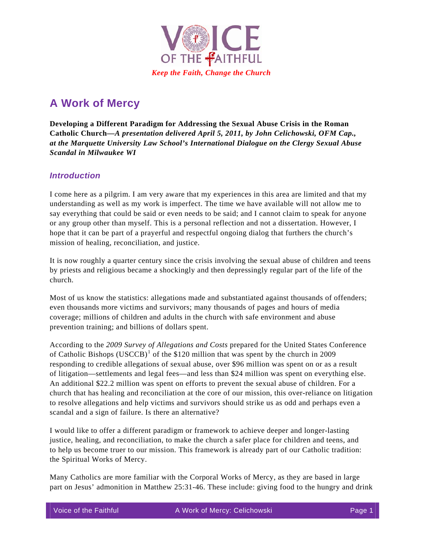

# **A Work of Mercy**

**Developing a Different Paradigm for Addressing the Sexual Abuse Crisis in the Roman Catholic Church***—A presentation delivered April 5, 2011, by John Celichowski, OFM Cap., at the Marquette University Law School's International Dialogue on the Clergy Sexual Abuse Scandal in Milwaukee WI* 

### *Introduction*

I come here as a pilgrim. I am very aware that my experiences in this area are limited and that my understanding as well as my work is imperfect. The time we have available will not allow me to say everything that could be said or even needs to be said; and I cannot claim to speak for anyone or any group other than myself. This is a personal reflection and not a dissertation. However, I hope that it can be part of a prayerful and respectful ongoing dialog that furthers the church's mission of healing, reconciliation, and justice.

It is now roughly a quarter century since the crisis involving the sexual abuse of children and teens by priests and religious became a shockingly and then depressingly regular part of the life of the church.

Most of us know the statistics: allegations made and substantiated against thousands of offenders; even thousands more victims and survivors; many thousands of pages and hours of media coverage; millions of children and adults in the church with safe environment and abuse prevention training; and billions of dollars spent.

According to the *2009 Survey of Allegations and Costs* prepared for the United States Conference of Catholic Bishops  $(USCCB)^1$  $(USCCB)^1$  of the \$120 million that was spent by the church in 2009 responding to credible allegations of sexual abuse, over \$96 million was spent on or as a result of litigation—settlements and legal fees—and less than \$24 million was spent on everything else. An additional \$22.2 million was spent on efforts to prevent the sexual abuse of children. For a church that has healing and reconciliation at the core of our mission, this over-reliance on litigation to resolve allegations and help victims and survivors should strike us as odd and perhaps even a scandal and a sign of failure. Is there an alternative?

I would like to offer a different paradigm or framework to achieve deeper and longer-lasting justice, healing, and reconciliation, to make the church a safer place for children and teens, and to help us become truer to our mission. This framework is already part of our Catholic tradition: the Spiritual Works of Mercy.

Many Catholics are more familiar with the Corporal Works of Mercy, as they are based in large part on Jesus' admonition in Matthew 25:31-46. These include: giving food to the hungry and drink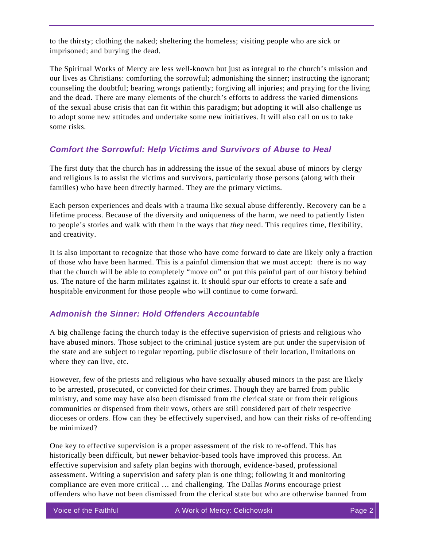to the thirsty; clothing the naked; sheltering the homeless; visiting people who are sick or imprisoned; and burying the dead.

The Spiritual Works of Mercy are less well-known but just as integral to the church's mission and our lives as Christians: comforting the sorrowful; admonishing the sinner; instructing the ignorant; counseling the doubtful; bearing wrongs patiently; forgiving all injuries; and praying for the living and the dead. There are many elements of the church's efforts to address the varied dimensions of the sexual abuse crisis that can fit within this paradigm; but adopting it will also challenge us to adopt some new attitudes and undertake some new initiatives. It will also call on us to take some risks.

# *Comfort the Sorrowful: Help Victims and Survivors of Abuse to Heal*

The first duty that the church has in addressing the issue of the sexual abuse of minors by clergy and religious is to assist the victims and survivors, particularly those persons (along with their families) who have been directly harmed. They are the primary victims.

Each person experiences and deals with a trauma like sexual abuse differently. Recovery can be a lifetime process. Because of the diversity and uniqueness of the harm, we need to patiently listen to people's stories and walk with them in the ways that *they* need. This requires time, flexibility, and creativity.

It is also important to recognize that those who have come forward to date are likely only a fraction of those who have been harmed. This is a painful dimension that we must accept: there is no way that the church will be able to completely "move on" or put this painful part of our history behind us. The nature of the harm militates against it. It should spur our efforts to create a safe and hospitable environment for those people who will continue to come forward.

# *Admonish the Sinner: Hold Offenders Accountable*

A big challenge facing the church today is the effective supervision of priests and religious who have abused minors. Those subject to the criminal justice system are put under the supervision of the state and are subject to regular reporting, public disclosure of their location, limitations on where they can live, etc.

However, few of the priests and religious who have sexually abused minors in the past are likely to be arrested, prosecuted, or convicted for their crimes. Though they are barred from public ministry, and some may have also been dismissed from the clerical state or from their religious communities or dispensed from their vows, others are still considered part of their respective dioceses or orders. How can they be effectively supervised, and how can their risks of re-offending be minimized?

offenders who have not been dismissed from the clerical state but who are otherwise banned from One key to effective supervision is a proper assessment of the risk to re-offend. This has historically been difficult, but newer behavior-based tools have improved this process. An effective supervision and safety plan begins with thorough, evidence-based, professional assessment. Writing a supervision and safety plan is one thing; following it and monitoring compliance are even more critical … and challenging. The Dallas *Norms* encourage priest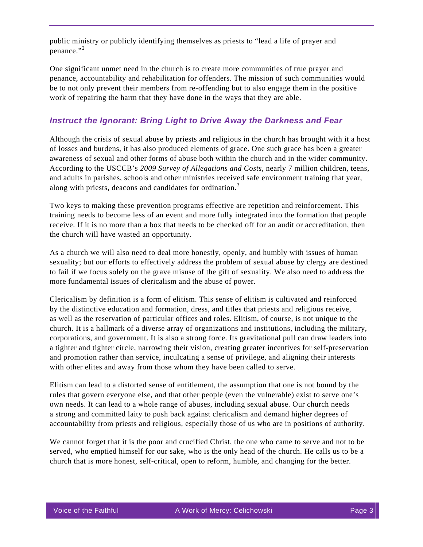public ministry or publicly identifying themselves as priests to "lead a life of prayer and penance." $^2$  $^2$ 

One significant unmet need in the church is to create more communities of true prayer and penance, accountability and rehabilitation for offenders. The mission of such communities would be to not only prevent their members from re-offending but to also engage them in the positive work of repairing the harm that they have done in the ways that they are able.

#### *Instruct the Ignorant: Bring Light to Drive Away the Darkness and Fear*

Although the crisis of sexual abuse by priests and religious in the church has brought with it a host of losses and burdens, it has also produced elements of grace. One such grace has been a greater awareness of sexual and other forms of abuse both within the church and in the wider community. According to the USCCB's *2009 Survey of Allegations and Costs,* nearly 7 million children, teens, and adults in parishes, schools and other ministries received safe environment training that year, along with priests, deacons and candidates for ordination.<sup>[3](#page-6-2)</sup>

Two keys to making these prevention programs effective are repetition and reinforcement. This training needs to become less of an event and more fully integrated into the formation that people receive. If it is no more than a box that needs to be checked off for an audit or accreditation, then the church will have wasted an opportunity.

As a church we will also need to deal more honestly, openly, and humbly with issues of human sexuality; but our efforts to effectively address the problem of sexual abuse by clergy are destined to fail if we focus solely on the grave misuse of the gift of sexuality. We also need to address the more fundamental issues of clericalism and the abuse of power.

Clericalism by definition is a form of elitism. This sense of elitism is cultivated and reinforced by the distinctive education and formation, dress, and titles that priests and religious receive, as well as the reservation of particular offices and roles. Elitism, of course, is not unique to the church. It is a hallmark of a diverse array of organizations and institutions, including the military, corporations, and government. It is also a strong force. Its gravitational pull can draw leaders into a tighter and tighter circle, narrowing their vision, creating greater incentives for self-preservation and promotion rather than service, inculcating a sense of privilege, and aligning their interests with other elites and away from those whom they have been called to serve.

Elitism can lead to a distorted sense of entitlement, the assumption that one is not bound by the rules that govern everyone else, and that other people (even the vulnerable) exist to serve one's own needs. It can lead to a whole range of abuses, including sexual abuse. Our church needs a strong and committed laity to push back against clericalism and demand higher degrees of accountability from priests and religious, especially those of us who are in positions of authority.

We cannot forget that it is the poor and crucified Christ, the one who came to serve and not to be served, who emptied himself for our sake, who is the only head of the church. He calls us to be a church that is more honest, self-critical, open to reform, humble, and changing for the better.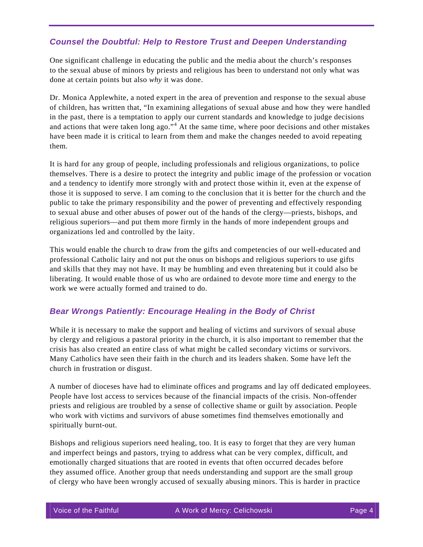# *Counsel the Doubtful: Help to Restore Trust and Deepen Understanding*

One significant challenge in educating the public and the media about the church's responses to the sexual abuse of minors by priests and religious has been to understand not only what was done at certain points but also *why* it was done.

Dr. Monica Applewhite, a noted expert in the area of prevention and response to the sexual abuse of children, has written that, "In examining allegations of sexual abuse and how they were handled in the past, there is a temptation to apply our current standards and knowledge to judge decisions and actions that were taken long ago."<sup>[4](#page-6-3)</sup> At the same time, where poor decisions and other mistakes have been made it is critical to learn from them and make the changes needed to avoid repeating them.

It is hard for any group of people, including professionals and religious organizations, to police themselves. There is a desire to protect the integrity and public image of the profession or vocation and a tendency to identify more strongly with and protect those within it, even at the expense of those it is supposed to serve. I am coming to the conclusion that it is better for the church and the public to take the primary responsibility and the power of preventing and effectively responding to sexual abuse and other abuses of power out of the hands of the clergy—priests, bishops, and religious superiors—and put them more firmly in the hands of more independent groups and organizations led and controlled by the laity.

This would enable the church to draw from the gifts and competencies of our well-educated and professional Catholic laity and not put the onus on bishops and religious superiors to use gifts and skills that they may not have. It may be humbling and even threatening but it could also be liberating. It would enable those of us who are ordained to devote more time and energy to the work we were actually formed and trained to do.

#### *Bear Wrongs Patiently: Encourage Healing in the Body of Christ*

While it is necessary to make the support and healing of victims and survivors of sexual abuse by clergy and religious a pastoral priority in the church, it is also important to remember that the crisis has also created an entire class of what might be called secondary victims or survivors. Many Catholics have seen their faith in the church and its leaders shaken. Some have left the church in frustration or disgust.

A number of dioceses have had to eliminate offices and programs and lay off dedicated employees. People have lost access to services because of the financial impacts of the crisis. Non-offender priests and religious are troubled by a sense of collective shame or guilt by association. People who work with victims and survivors of abuse sometimes find themselves emotionally and spiritually burnt-out.

Bishops and religious superiors need healing, too. It is easy to forget that they are very human and imperfect beings and pastors, trying to address what can be very complex, difficult, and emotionally charged situations that are rooted in events that often occurred decades before they assumed office. Another group that needs understanding and support are the small group of clergy who have been wrongly accused of sexually abusing minors. This is harder in practice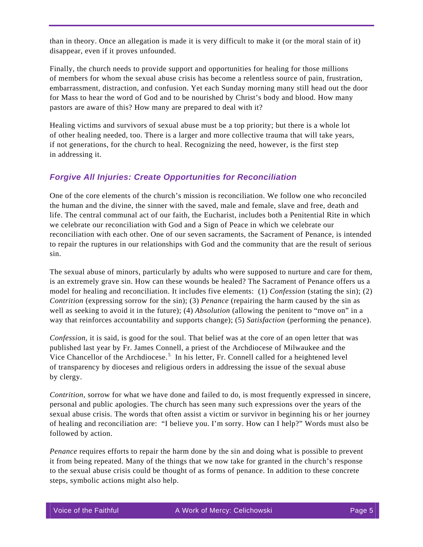than in theory. Once an allegation is made it is very difficult to make it (or the moral stain of it) disappear, even if it proves unfounded.

Finally, the church needs to provide support and opportunities for healing for those millions of members for whom the sexual abuse crisis has become a relentless source of pain, frustration, embarrassment, distraction, and confusion. Yet each Sunday morning many still head out the door for Mass to hear the word of God and to be nourished by Christ's body and blood. How many pastors are aware of this? How many are prepared to deal with it?

Healing victims and survivors of sexual abuse must be a top priority; but there is a whole lot of other healing needed, too. There is a larger and more collective trauma that will take years, if not generations, for the church to heal. Recognizing the need, however, is the first step in addressing it.

#### *Forgive All Injuries: Create Opportunities for Reconciliation*

One of the core elements of the church's mission is reconciliation. We follow one who reconciled the human and the divine, the sinner with the saved, male and female, slave and free, death and life. The central communal act of our faith, the Eucharist, includes both a Penitential Rite in which we celebrate our reconciliation with God and a Sign of Peace in which we celebrate our reconciliation with each other. One of our seven sacraments, the Sacrament of Penance, is intended to repair the ruptures in our relationships with God and the community that are the result of serious sin.

The sexual abuse of minors, particularly by adults who were supposed to nurture and care for them, is an extremely grave sin. How can these wounds be healed? The Sacrament of Penance offers us a model for healing and reconciliation. It includes five elements: (1) *Confession* (stating the sin); (2) *Contrition* (expressing sorrow for the sin); (3) *Penance* (repairing the harm caused by the sin as well as seeking to avoid it in the future); (4) *Absolution* (allowing the penitent to "move on" in a way that reinforces accountability and supports change); (5) *Satisfaction* (performing the penance).

*Confession,* it is said, is good for the soul. That belief was at the core of an open letter that was published last year by Fr. James Connell, a priest of the Archdiocese of Milwaukee and the Vice Chancellor of the Archdiocese.<sup>[5](#page-6-4)</sup> In his letter, Fr. Connell called for a heightened level of transparency by dioceses and religious orders in addressing the issue of the sexual abuse by clergy.

*Contrition,* sorrow for what we have done and failed to do, is most frequently expressed in sincere, personal and public apologies. The church has seen many such expressions over the years of the sexual abuse crisis. The words that often assist a victim or survivor in beginning his or her journey of healing and reconciliation are: "I believe you. I'm sorry. How can I help?" Words must also be followed by action.

*Penance* requires efforts to repair the harm done by the sin and doing what is possible to prevent it from being repeated. Many of the things that we now take for granted in the church's response to the sexual abuse crisis could be thought of as forms of penance. In addition to these concrete steps, symbolic actions might also help.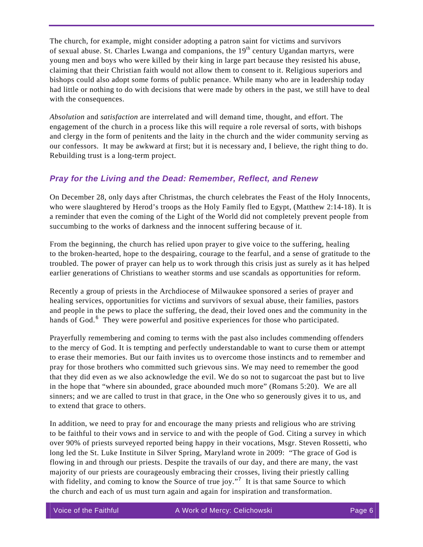The church, for example, might consider adopting a patron saint for victims and survivors of sexual abuse. St. Charles Lwanga and companions, the  $19<sup>th</sup>$  century Ugandan martyrs, were young men and boys who were killed by their king in large part because they resisted his abuse, claiming that their Christian faith would not allow them to consent to it. Religious superiors and bishops could also adopt some forms of public penance. While many who are in leadership today had little or nothing to do with decisions that were made by others in the past, we still have to deal with the consequences.

*Absolution* and *satisfaction* are interrelated and will demand time, thought, and effort. The engagement of the church in a process like this will require a role reversal of sorts, with bishops and clergy in the form of penitents and the laity in the church and the wider community serving as our confessors. It may be awkward at first; but it is necessary and, I believe, the right thing to do. Rebuilding trust is a long-term project.

### *Pray for the Living and the Dead: Remember, Reflect, and Renew*

On December 28, only days after Christmas, the church celebrates the Feast of the Holy Innocents, who were slaughtered by Herod's troops as the Holy Family fled to Egypt, (Matthew 2:14-18). It is a reminder that even the coming of the Light of the World did not completely prevent people from succumbing to the works of darkness and the innocent suffering because of it.

From the beginning, the church has relied upon prayer to give voice to the suffering, healing to the broken-hearted, hope to the despairing, courage to the fearful, and a sense of gratitude to the troubled. The power of prayer can help us to work through this crisis just as surely as it has helped earlier generations of Christians to weather storms and use scandals as opportunities for reform.

Recently a group of priests in the Archdiocese of Milwaukee sponsored a series of prayer and healing services, opportunities for victims and survivors of sexual abuse, their families, pastors and people in the pews to place the suffering, the dead, their loved ones and the community in the hands of God. $<sup>6</sup>$  $<sup>6</sup>$  $<sup>6</sup>$  They were powerful and positive experiences for those who participated.</sup>

Prayerfully remembering and coming to terms with the past also includes commending offenders to the mercy of God. It is tempting and perfectly understandable to want to curse them or attempt to erase their memories. But our faith invites us to overcome those instincts and to remember and pray for those brothers who committed such grievous sins. We may need to remember the good that they did even as we also acknowledge the evil. We do so not to sugarcoat the past but to live in the hope that "where sin abounded, grace abounded much more" (Romans 5:20). We are all sinners; and we are called to trust in that grace, in the One who so generously gives it to us, and to extend that grace to others.

In addition, we need to pray for and encourage the many priests and religious who are striving to be faithful to their vows and in service to and with the people of God. Citing a survey in which over 90% of priests surveyed reported being happy in their vocations, Msgr. Steven Rossetti, who long led the St. Luke Institute in Silver Spring, Maryland wrote in 2009: "The grace of God is flowing in and through our priests. Despite the travails of our day, and there are many, the vast majority of our priests are courageously embracing their crosses, living their priestly calling with fidelity, and coming to know the Source of true joy."<sup>[7](#page-6-6)</sup> It is that same Source to which the church and each of us must turn again and again for inspiration and transformation.